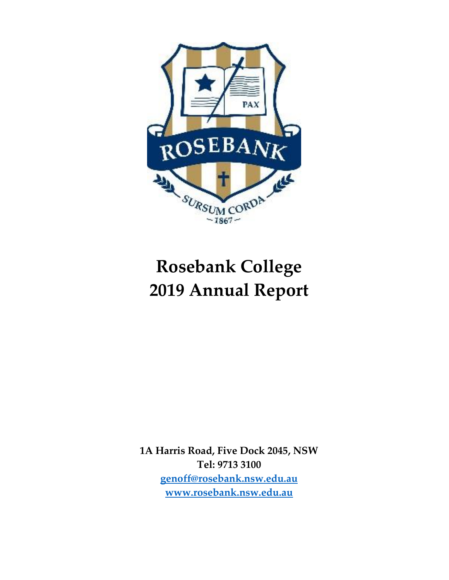

# **Rosebank College 2019 Annual Report**

**1A Harris Road, Five Dock 2045, NSW Tel: 9713 3100 [genoff@rosebank.nsw.edu.au](mailto:genoff@rosebank.nsw.edu.au) [www.rosebank.nsw.edu.au](http://www.rosebank.nsw.edu.au/)**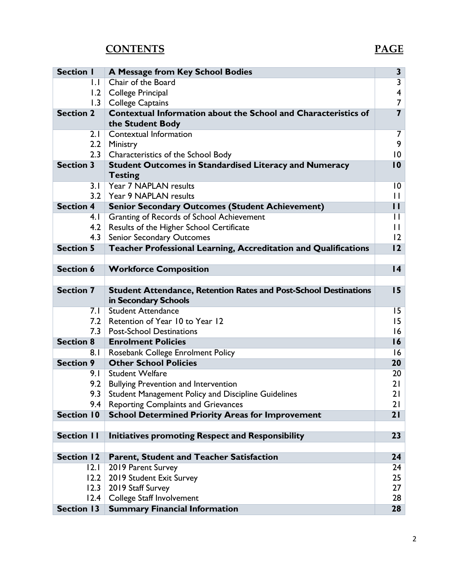## **CONTENTS PAGE**

| <b>Section I</b>        | A Message from Key School Bodies                                                                | $\mathbf{3}$            |
|-------------------------|-------------------------------------------------------------------------------------------------|-------------------------|
| $\mathsf{L} \mathsf{L}$ | Chair of the Board                                                                              | $\mathbf{3}$            |
| .2                      | College Principal                                                                               | $\overline{\mathbf{r}}$ |
| 1.3                     | <b>College Captains</b>                                                                         | $\overline{7}$          |
| <b>Section 2</b>        | Contextual Information about the School and Characteristics of                                  | $\overline{\mathbf{z}}$ |
|                         | the Student Body                                                                                |                         |
| 2.1                     | Contextual Information                                                                          | 7                       |
| 2.2                     | Ministry                                                                                        | 9                       |
| 2.3                     | Characteristics of the School Body                                                              | $\overline{10}$         |
| <b>Section 3</b>        | <b>Student Outcomes in Standardised Literacy and Numeracy</b>                                   | $\overline{10}$         |
|                         | <b>Testing</b>                                                                                  |                         |
| 3. I                    | <b>Year 7 NAPLAN results</b>                                                                    | $\overline{10}$         |
| 3.2                     | Year 9 NAPLAN results                                                                           | $\mathbf{H}$            |
| <b>Section 4</b>        | <b>Senior Secondary Outcomes (Student Achievement)</b>                                          | П                       |
| 4. I                    | Granting of Records of School Achievement                                                       | $\mathbf{H}$            |
| 4.2                     | Results of the Higher School Certificate                                                        | $\mathbf{H}$            |
| 4.3                     | Senior Secondary Outcomes                                                                       | $ 2\rangle$             |
| <b>Section 5</b>        | Teacher Professional Learning, Accreditation and Qualifications                                 | 12                      |
|                         |                                                                                                 |                         |
| <b>Section 6</b>        | <b>Workforce Composition</b>                                                                    | $\overline{14}$         |
| <b>Section 7</b>        |                                                                                                 | 15                      |
|                         | <b>Student Attendance, Retention Rates and Post-School Destinations</b><br>in Secondary Schools |                         |
| 7.1                     | <b>Student Attendance</b>                                                                       | 15                      |
| 7.2                     | Retention of Year 10 to Year 12                                                                 | 15                      |
| 7.3                     | <b>Post-School Destinations</b>                                                                 | 16                      |
| <b>Section 8</b>        | <b>Enrolment Policies</b>                                                                       | 16                      |
| 8. I                    | Rosebank College Enrolment Policy                                                               | 16                      |
| <b>Section 9</b>        | <b>Other School Policies</b>                                                                    | 20                      |
| 9. I                    | <b>Student Welfare</b>                                                                          | 20                      |
| 9.2                     | <b>Bullying Prevention and Intervention</b>                                                     | 21                      |
|                         | 9.3 Student Management Policy and Discipline Guidelines                                         | 21                      |
| 9.4                     | <b>Reporting Complaints and Grievances</b>                                                      | 21                      |
| <b>Section 10</b>       | <b>School Determined Priority Areas for Improvement</b>                                         | 21                      |
|                         |                                                                                                 |                         |
| <b>Section II</b>       | <b>Initiatives promoting Respect and Responsibility</b>                                         | 23                      |
|                         |                                                                                                 |                         |
| <b>Section 12</b>       | <b>Parent, Student and Teacher Satisfaction</b>                                                 | 24                      |
| 2.1                     | 2019 Parent Survey                                                                              | 24                      |
| 12.2                    | 2019 Student Exit Survey                                                                        | 25                      |
| 12.3                    | 2019 Staff Survey                                                                               | 27                      |
| 12.4                    | College Staff Involvement                                                                       | 28                      |
| <b>Section 13</b>       | <b>Summary Financial Information</b>                                                            | 28                      |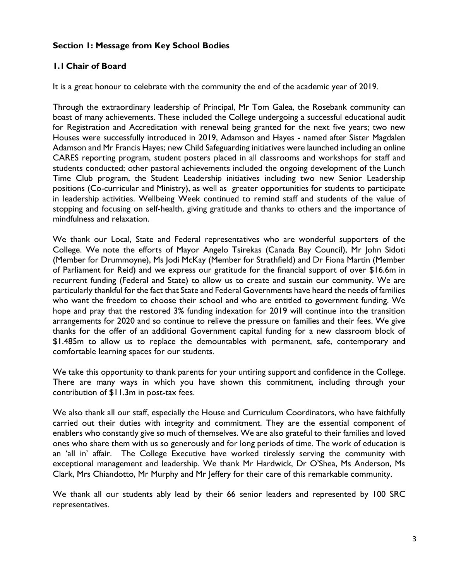#### **Section 1: Message from Key School Bodies**

#### **1.1Chair of Board**

It is a great honour to celebrate with the community the end of the academic year of 2019.

Through the extraordinary leadership of Principal, Mr Tom Galea, the Rosebank community can boast of many achievements. These included the College undergoing a successful educational audit for Registration and Accreditation with renewal being granted for the next five years; two new Houses were successfully introduced in 2019, Adamson and Hayes - named after Sister Magdalen Adamson and Mr Francis Hayes; new Child Safeguarding initiatives were launched including an online CARES reporting program, student posters placed in all classrooms and workshops for staff and students conducted; other pastoral achievements included the ongoing development of the Lunch Time Club program, the Student Leadership initiatives including two new Senior Leadership positions (Co-curricular and Ministry), as well as greater opportunities for students to participate in leadership activities. Wellbeing Week continued to remind staff and students of the value of stopping and focusing on self-health, giving gratitude and thanks to others and the importance of mindfulness and relaxation.

We thank our Local, State and Federal representatives who are wonderful supporters of the College. We note the efforts of Mayor Angelo Tsirekas (Canada Bay Council), Mr John Sidoti (Member for Drummoyne), Ms Jodi McKay (Member for Strathfield) and Dr Fiona Martin (Member of Parliament for Reid) and we express our gratitude for the financial support of over \$16.6m in recurrent funding (Federal and State) to allow us to create and sustain our community. We are particularly thankful for the fact that State and Federal Governments have heard the needs of families who want the freedom to choose their school and who are entitled to government funding. We hope and pray that the restored 3% funding indexation for 2019 will continue into the transition arrangements for 2020 and so continue to relieve the pressure on families and their fees. We give thanks for the offer of an additional Government capital funding for a new classroom block of \$1.485m to allow us to replace the demountables with permanent, safe, contemporary and comfortable learning spaces for our students.

We take this opportunity to thank parents for your untiring support and confidence in the College. There are many ways in which you have shown this commitment, including through your contribution of \$11.3m in post-tax fees.

We also thank all our staff, especially the House and Curriculum Coordinators, who have faithfully carried out their duties with integrity and commitment. They are the essential component of enablers who constantly give so much of themselves. We are also grateful to their families and loved ones who share them with us so generously and for long periods of time. The work of education is an 'all in' affair. The College Executive have worked tirelessly serving the community with exceptional management and leadership. We thank Mr Hardwick, Dr O'Shea, Ms Anderson, Ms Clark, Mrs Chiandotto, Mr Murphy and Mr Jeffery for their care of this remarkable community.

We thank all our students ably lead by their 66 senior leaders and represented by 100 SRC representatives.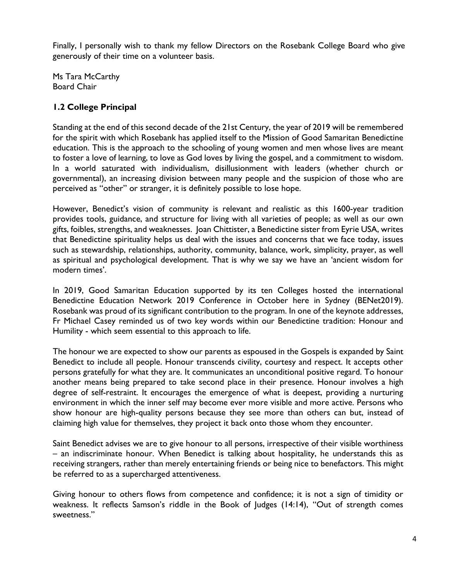Finally, I personally wish to thank my fellow Directors on the Rosebank College Board who give generously of their time on a volunteer basis.

Ms Tara McCarthy Board Chair

#### **1.2 College Principal**

Standing at the end of this second decade of the 21st Century, the year of 2019 will be remembered for the spirit with which Rosebank has applied itself to the Mission of Good Samaritan Benedictine education. This is the approach to the schooling of young women and men whose lives are meant to foster a love of learning, to love as God loves by living the gospel, and a commitment to wisdom. In a world saturated with individualism, disillusionment with leaders (whether church or governmental), an increasing division between many people and the suspicion of those who are perceived as "other" or stranger, it is definitely possible to lose hope.

However, Benedict's vision of community is relevant and realistic as this 1600-year tradition provides tools, guidance, and structure for living with all varieties of people; as well as our own gifts, foibles, strengths, and weaknesses. Joan Chittister, a Benedictine sister from Eyrie USA, writes that Benedictine spirituality helps us deal with the issues and concerns that we face today, issues such as stewardship, relationships, authority, community, balance, work, simplicity, prayer, as well as spiritual and psychological development. That is why we say we have an 'ancient wisdom for modern times'.

In 2019, Good Samaritan Education supported by its ten Colleges hosted the international Benedictine Education Network 2019 Conference in October here in Sydney (BENet2019). Rosebank was proud of its significant contribution to the program. In one of the keynote addresses, Fr Michael Casey reminded us of two key words within our Benedictine tradition: Honour and Humility - which seem essential to this approach to life.

The honour we are expected to show our parents as espoused in the Gospels is expanded by Saint Benedict to include all people. Honour transcends civility, courtesy and respect. It accepts other persons gratefully for what they are. It communicates an unconditional positive regard. To honour another means being prepared to take second place in their presence. Honour involves a high degree of self-restraint. It encourages the emergence of what is deepest, providing a nurturing environment in which the inner self may become ever more visible and more active. Persons who show honour are high-quality persons because they see more than others can but, instead of claiming high value for themselves, they project it back onto those whom they encounter.

Saint Benedict advises we are to give honour to all persons, irrespective of their visible worthiness – an indiscriminate honour. When Benedict is talking about hospitality, he understands this as receiving strangers, rather than merely entertaining friends or being nice to benefactors. This might be referred to as a supercharged attentiveness.

Giving honour to others flows from competence and confidence; it is not a sign of timidity or weakness. It reflects Samson's riddle in the Book of Judges (14:14), "Out of strength comes sweetness."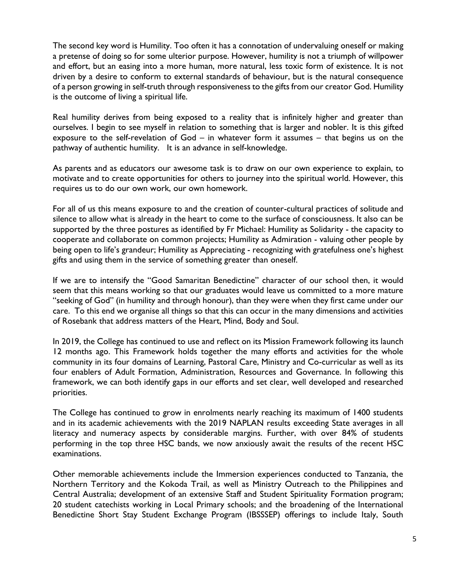The second key word is Humility. Too often it has a connotation of undervaluing oneself or making a pretense of doing so for some ulterior purpose. However, humility is not a triumph of willpower and effort, but an easing into a more human, more natural, less toxic form of existence. It is not driven by a desire to conform to external standards of behaviour, but is the natural consequence of a person growing in self-truth through responsiveness to the gifts from our creator God. Humility is the outcome of living a spiritual life.

Real humility derives from being exposed to a reality that is infinitely higher and greater than ourselves. I begin to see myself in relation to something that is larger and nobler. It is this gifted exposure to the self-revelation of God – in whatever form it assumes – that begins us on the pathway of authentic humility. It is an advance in self-knowledge.

As parents and as educators our awesome task is to draw on our own experience to explain, to motivate and to create opportunities for others to journey into the spiritual world. However, this requires us to do our own work, our own homework.

For all of us this means exposure to and the creation of counter-cultural practices of solitude and silence to allow what is already in the heart to come to the surface of consciousness. It also can be supported by the three postures as identified by Fr Michael: Humility as Solidarity - the capacity to cooperate and collaborate on common projects; Humility as Admiration - valuing other people by being open to life's grandeur; Humility as Appreciating - recognizing with gratefulness one's highest gifts and using them in the service of something greater than oneself.

If we are to intensify the "Good Samaritan Benedictine" character of our school then, it would seem that this means working so that our graduates would leave us committed to a more mature "seeking of God" (in humility and through honour), than they were when they first came under our care. To this end we organise all things so that this can occur in the many dimensions and activities of Rosebank that address matters of the Heart, Mind, Body and Soul.

In 2019, the College has continued to use and reflect on its Mission Framework following its launch 12 months ago. This Framework holds together the many efforts and activities for the whole community in its four domains of Learning, Pastoral Care, Ministry and Co-curricular as well as its four enablers of Adult Formation, Administration, Resources and Governance. In following this framework, we can both identify gaps in our efforts and set clear, well developed and researched priorities.

The College has continued to grow in enrolments nearly reaching its maximum of 1400 students and in its academic achievements with the 2019 NAPLAN results exceeding State averages in all literacy and numeracy aspects by considerable margins. Further, with over 84% of students performing in the top three HSC bands, we now anxiously await the results of the recent HSC examinations.

Other memorable achievements include the Immersion experiences conducted to Tanzania, the Northern Territory and the Kokoda Trail, as well as Ministry Outreach to the Philippines and Central Australia; development of an extensive Staff and Student Spirituality Formation program; 20 student catechists working in Local Primary schools; and the broadening of the International Benedictine Short Stay Student Exchange Program (IBSSSEP) offerings to include Italy, South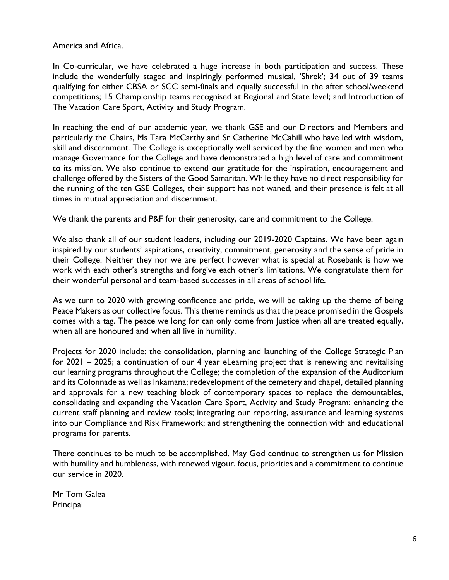America and Africa.

In Co-curricular, we have celebrated a huge increase in both participation and success. These include the wonderfully staged and inspiringly performed musical, 'Shrek'; 34 out of 39 teams qualifying for either CBSA or SCC semi-finals and equally successful in the after school/weekend competitions; 15 Championship teams recognised at Regional and State level; and Introduction of The Vacation Care Sport, Activity and Study Program.

In reaching the end of our academic year, we thank GSE and our Directors and Members and particularly the Chairs, Ms Tara McCarthy and Sr Catherine McCahill who have led with wisdom, skill and discernment. The College is exceptionally well serviced by the fine women and men who manage Governance for the College and have demonstrated a high level of care and commitment to its mission. We also continue to extend our gratitude for the inspiration, encouragement and challenge offered by the Sisters of the Good Samaritan. While they have no direct responsibility for the running of the ten GSE Colleges, their support has not waned, and their presence is felt at all times in mutual appreciation and discernment.

We thank the parents and P&F for their generosity, care and commitment to the College.

We also thank all of our student leaders, including our 2019-2020 Captains. We have been again inspired by our students' aspirations, creativity, commitment, generosity and the sense of pride in their College. Neither they nor we are perfect however what is special at Rosebank is how we work with each other's strengths and forgive each other's limitations. We congratulate them for their wonderful personal and team-based successes in all areas of school life.

As we turn to 2020 with growing confidence and pride, we will be taking up the theme of being Peace Makers as our collective focus. This theme reminds us that the peace promised in the Gospels comes with a tag. The peace we long for can only come from Justice when all are treated equally, when all are honoured and when all live in humility.

Projects for 2020 include: the consolidation, planning and launching of the College Strategic Plan for 2021 – 2025; a continuation of our 4 year eLearning project that is renewing and revitalising our learning programs throughout the College; the completion of the expansion of the Auditorium and its Colonnade as well as Inkamana; redevelopment of the cemetery and chapel, detailed planning and approvals for a new teaching block of contemporary spaces to replace the demountables, consolidating and expanding the Vacation Care Sport, Activity and Study Program; enhancing the current staff planning and review tools; integrating our reporting, assurance and learning systems into our Compliance and Risk Framework; and strengthening the connection with and educational programs for parents.

There continues to be much to be accomplished. May God continue to strengthen us for Mission with humility and humbleness, with renewed vigour, focus, priorities and a commitment to continue our service in 2020.

Mr Tom Galea **Principal**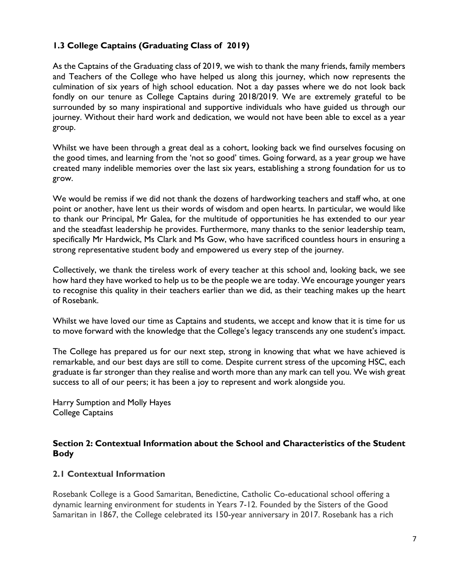#### **1.3 College Captains (Graduating Class of 2019)**

As the Captains of the Graduating class of 2019, we wish to thank the many friends, family members and Teachers of the College who have helped us along this journey, which now represents the culmination of six years of high school education. Not a day passes where we do not look back fondly on our tenure as College Captains during 2018/2019. We are extremely grateful to be surrounded by so many inspirational and supportive individuals who have guided us through our journey. Without their hard work and dedication, we would not have been able to excel as a year group.

Whilst we have been through a great deal as a cohort, looking back we find ourselves focusing on the good times, and learning from the 'not so good' times. Going forward, as a year group we have created many indelible memories over the last six years, establishing a strong foundation for us to grow.

We would be remiss if we did not thank the dozens of hardworking teachers and staff who, at one point or another, have lent us their words of wisdom and open hearts. In particular, we would like to thank our Principal, Mr Galea, for the multitude of opportunities he has extended to our year and the steadfast leadership he provides. Furthermore, many thanks to the senior leadership team, specifically Mr Hardwick, Ms Clark and Ms Gow, who have sacrificed countless hours in ensuring a strong representative student body and empowered us every step of the journey.

Collectively, we thank the tireless work of every teacher at this school and, looking back, we see how hard they have worked to help us to be the people we are today. We encourage younger years to recognise this quality in their teachers earlier than we did, as their teaching makes up the heart of Rosebank.

Whilst we have loved our time as Captains and students, we accept and know that it is time for us to move forward with the knowledge that the College's legacy transcends any one student's impact.

The College has prepared us for our next step, strong in knowing that what we have achieved is remarkable, and our best days are still to come. Despite current stress of the upcoming HSC, each graduate is far stronger than they realise and worth more than any mark can tell you. We wish great success to all of our peers; it has been a joy to represent and work alongside you.

Harry Sumption and Molly Hayes College Captains

#### **Section 2: Contextual Information about the School and Characteristics of the Student Body**

#### **2.1 Contextual Information**

Rosebank College is a Good Samaritan, Benedictine, Catholic Co-educational school offering a dynamic learning environment for students in Years 7-12. Founded by the Sisters of the Good Samaritan in 1867, the College celebrated its 150-year anniversary in 2017. Rosebank has a rich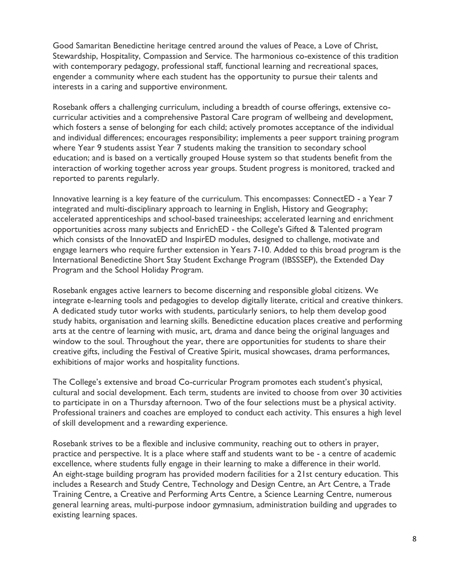Good Samaritan Benedictine heritage centred around the values of Peace, a Love of Christ, Stewardship, Hospitality, Compassion and Service. The harmonious co-existence of this tradition with contemporary pedagogy, professional staff, functional learning and recreational spaces, engender a community where each student has the opportunity to pursue their talents and interests in a caring and supportive environment.

Rosebank offers a challenging curriculum, including a breadth of course offerings, extensive cocurricular activities and a comprehensive Pastoral Care program of wellbeing and development, which fosters a sense of belonging for each child; actively promotes acceptance of the individual and individual differences; encourages responsibility; implements a peer support training program where Year 9 students assist Year 7 students making the transition to secondary school education; and is based on a vertically grouped House system so that students benefit from the interaction of working together across year groups. Student progress is monitored, tracked and reported to parents regularly.

Innovative learning is a key feature of the curriculum. This encompasses: ConnectED - a Year 7 integrated and multi-disciplinary approach to learning in English, History and Geography; accelerated apprenticeships and school-based traineeships; accelerated learning and enrichment opportunities across many subjects and EnrichED - the College's Gifted & Talented program which consists of the InnovatED and InspirED modules, designed to challenge, motivate and engage learners who require further extension in Years 7-10. Added to this broad program is the International Benedictine Short Stay Student Exchange Program (IBSSSEP), the Extended Day Program and the School Holiday Program.

Rosebank engages active learners to become discerning and responsible global citizens. We integrate e-learning tools and pedagogies to develop digitally literate, critical and creative thinkers. A dedicated study tutor works with students, particularly seniors, to help them develop good study habits, organisation and learning skills. Benedictine education places creative and performing arts at the centre of learning with music, art, drama and dance being the original languages and window to the soul. Throughout the year, there are opportunities for students to share their creative gifts, including the Festival of Creative Spirit, musical showcases, drama performances, exhibitions of major works and hospitality functions.

The College's extensive and broad Co-curricular Program promotes each student's physical, cultural and social development. Each term, students are invited to choose from over 30 activities to participate in on a Thursday afternoon. Two of the four selections must be a physical activity. Professional trainers and coaches are employed to conduct each activity. This ensures a high level of skill development and a rewarding experience.

Rosebank strives to be a flexible and inclusive community, reaching out to others in prayer, practice and perspective. It is a place where staff and students want to be - a centre of academic excellence, where students fully engage in their learning to make a difference in their world. An eight-stage building program has provided modern facilities for a 21st century education. This includes a Research and Study Centre, Technology and Design Centre, an Art Centre, a Trade Training Centre, a Creative and Performing Arts Centre, a Science Learning Centre, numerous general learning areas, multi-purpose indoor gymnasium, administration building and upgrades to existing learning spaces.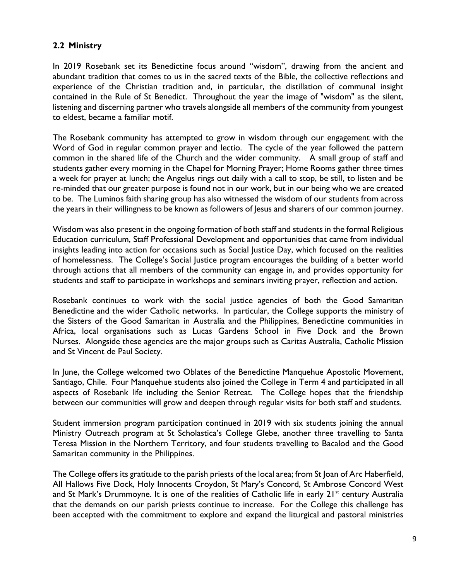#### **2.2 Ministry**

In 2019 Rosebank set its Benedictine focus around "wisdom", drawing from the ancient and abundant tradition that comes to us in the sacred texts of the Bible, the collective reflections and experience of the Christian tradition and, in particular, the distillation of communal insight contained in the Rule of St Benedict. Throughout the year the image of "wisdom" as the silent, listening and discerning partner who travels alongside all members of the community from youngest to eldest, became a familiar motif.

The Rosebank community has attempted to grow in wisdom through our engagement with the Word of God in regular common prayer and lectio. The cycle of the year followed the pattern common in the shared life of the Church and the wider community. A small group of staff and students gather every morning in the Chapel for Morning Prayer; Home Rooms gather three times a week for prayer at lunch; the Angelus rings out daily with a call to stop, be still, to listen and be re-minded that our greater purpose is found not in our work, but in our being who we are created to be. The Luminos faith sharing group has also witnessed the wisdom of our students from across the years in their willingness to be known as followers of Jesus and sharers of our common journey.

Wisdom was also present in the ongoing formation of both staff and students in the formal Religious Education curriculum, Staff Professional Development and opportunities that came from individual insights leading into action for occasions such as Social Justice Day, which focused on the realities of homelessness. The College's Social Justice program encourages the building of a better world through actions that all members of the community can engage in, and provides opportunity for students and staff to participate in workshops and seminars inviting prayer, reflection and action.

Rosebank continues to work with the social justice agencies of both the Good Samaritan Benedictine and the wider Catholic networks. In particular, the College supports the ministry of the Sisters of the Good Samaritan in Australia and the Philippines, Benedictine communities in Africa, local organisations such as Lucas Gardens School in Five Dock and the Brown Nurses. Alongside these agencies are the major groups such as Caritas Australia, Catholic Mission and St Vincent de Paul Society.

In June, the College welcomed two Oblates of the Benedictine Manquehue Apostolic Movement, Santiago, Chile. Four Manquehue students also joined the College in Term 4 and participated in all aspects of Rosebank life including the Senior Retreat. The College hopes that the friendship between our communities will grow and deepen through regular visits for both staff and students.

Student immersion program participation continued in 2019 with six students joining the annual Ministry Outreach program at St Scholastica's College Glebe, another three travelling to Santa Teresa Mission in the Northern Territory, and four students travelling to Bacalod and the Good Samaritan community in the Philippines.

The College offers its gratitude to the parish priests of the local area; from St Joan of Arc Haberfield, All Hallows Five Dock, Holy Innocents Croydon, St Mary's Concord, St Ambrose Concord West and St Mark's Drummoyne. It is one of the realities of Catholic life in early 21<sup>st</sup> century Australia that the demands on our parish priests continue to increase. For the College this challenge has been accepted with the commitment to explore and expand the liturgical and pastoral ministries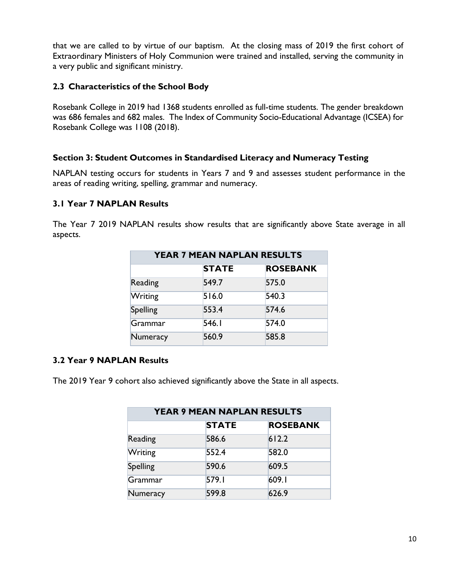that we are called to by virtue of our baptism. At the closing mass of 2019 the first cohort of Extraordinary Ministers of Holy Communion were trained and installed, serving the community in a very public and significant ministry.

#### **2.3 Characteristics of the School Body**

Rosebank College in 2019 had 1368 students enrolled as full-time students. The gender breakdown was 686 females and 682 males. The Index of Community Socio-Educational Advantage (ICSEA) for Rosebank College was 1108 (2018).

#### **Section 3: Student Outcomes in Standardised Literacy and Numeracy Testing**

NAPLAN testing occurs for students in Years 7 and 9 and assesses student performance in the areas of reading writing, spelling, grammar and numeracy.

#### **3.1 Year 7 NAPLAN Results**

The Year 7 2019 NAPLAN results show results that are significantly above State average in all aspects.

| <b>YEAR 7 MEAN NAPLAN RESULTS</b> |              |                 |  |
|-----------------------------------|--------------|-----------------|--|
|                                   | <b>STATE</b> | <b>ROSEBANK</b> |  |
| Reading                           | 549.7        | 575.0           |  |
| Writing                           | 516.0        | 540.3           |  |
| <b>Spelling</b>                   | 553.4        | 574.6           |  |
| Grammar                           | 546.I        | 574.0           |  |
| Numeracy                          | 560.9        | 585.8           |  |

#### **3.2 Year 9 NAPLAN Results**

The 2019 Year 9 cohort also achieved significantly above the State in all aspects.

| <b>YEAR 9 MEAN NAPLAN RESULTS</b> |              |                 |  |
|-----------------------------------|--------------|-----------------|--|
|                                   | <b>STATE</b> | <b>ROSEBANK</b> |  |
| Reading                           | 586.6        | 612.2           |  |
| Writing                           | 552.4        | 582.0           |  |
| <b>Spelling</b>                   | 590.6        | 609.5           |  |
| Grammar                           | 579.1        | 609.1           |  |
| Numeracy                          | 599.8        | 626.9           |  |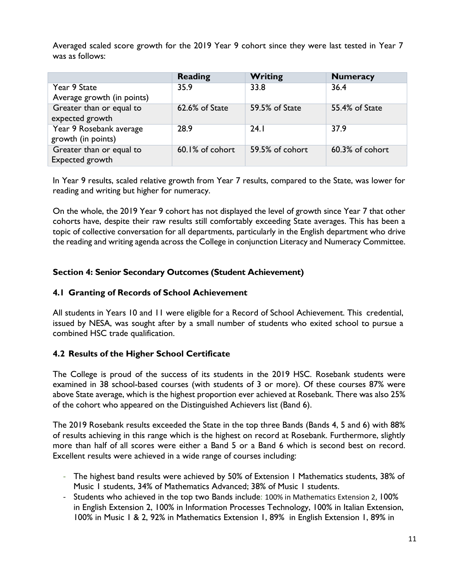Averaged scaled score growth for the 2019 Year 9 cohort since they were last tested in Year 7 was as follows:

|                            | <b>Reading</b>  | Writing         | <b>Numeracy</b> |
|----------------------------|-----------------|-----------------|-----------------|
| Year 9 State               | 35.9            | 33.8            | 36.4            |
| Average growth (in points) |                 |                 |                 |
| Greater than or equal to   | 62.6% of State  | 59.5% of State  | 55.4% of State  |
| expected growth            |                 |                 |                 |
| Year 9 Rosebank average    | 28.9            | 24.1            | 37.9            |
| growth (in points)         |                 |                 |                 |
| Greater than or equal to   | 60.1% of cohort | 59.5% of cohort | 60.3% of cohort |
| Expected growth            |                 |                 |                 |

In Year 9 results, scaled relative growth from Year 7 results, compared to the State, was lower for reading and writing but higher for numeracy.

On the whole, the 2019 Year 9 cohort has not displayed the level of growth since Year 7 that other cohorts have, despite their raw results still comfortably exceeding State averages. This has been a topic of collective conversation for all departments, particularly in the English department who drive the reading and writing agenda across the College in conjunction Literacy and Numeracy Committee.

#### **Section 4: Senior Secondary Outcomes (Student Achievement)**

#### **4.1 Granting of Records of School Achievement**

All students in Years 10 and 11 were eligible for a Record of School Achievement. This credential, issued by NESA, was sought after by a small number of students who exited school to pursue a combined HSC trade qualification.

#### **4.2 Results of the Higher School Certificate**

The College is proud of the success of its students in the 2019 HSC. Rosebank students were examined in 38 school-based courses (with students of 3 or more). Of these courses 87% were above State average, which is the highest proportion ever achieved at Rosebank. There was also 25% of the cohort who appeared on the Distinguished Achievers list (Band 6).

The 2019 Rosebank results exceeded the State in the top three Bands (Bands 4, 5 and 6) with 88% of results achieving in this range which is the highest on record at Rosebank. Furthermore, slightly more than half of all scores were either a Band 5 or a Band 6 which is second best on record. Excellent results were achieved in a wide range of courses including:

- The highest band results were achieved by 50% of Extension 1 Mathematics students, 38% of Music 1 students, 34% of Mathematics Advanced; 38% of Music 1 students.
- Students who achieved in the top two Bands include: 100% in Mathematics Extension 2, 100% in English Extension 2, 100% in Information Processes Technology, 100% in Italian Extension, 100% in Music 1 & 2, 92% in Mathematics Extension 1, 89% in English Extension 1, 89% in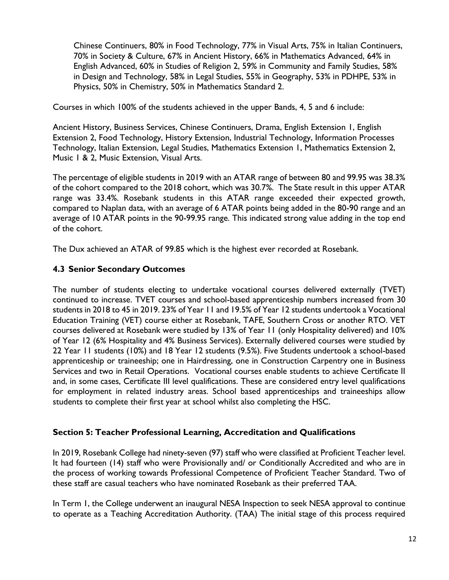Chinese Continuers, 80% in Food Technology, 77% in Visual Arts, 75% in Italian Continuers, 70% in Society & Culture, 67% in Ancient History, 66% in Mathematics Advanced, 64% in English Advanced, 60% in Studies of Religion 2, 59% in Community and Family Studies, 58% in Design and Technology, 58% in Legal Studies, 55% in Geography, 53% in PDHPE, 53% in Physics, 50% in Chemistry, 50% in Mathematics Standard 2.

Courses in which 100% of the students achieved in the upper Bands, 4, 5 and 6 include:

Ancient History, Business Services, Chinese Continuers, Drama, English Extension 1, English Extension 2, Food Technology, History Extension, Industrial Technology, Information Processes Technology, Italian Extension, Legal Studies, Mathematics Extension 1, Mathematics Extension 2, Music 1 & 2, Music Extension, Visual Arts.

The percentage of eligible students in 2019 with an ATAR range of between 80 and 99.95 was 38.3% of the cohort compared to the 2018 cohort, which was 30.7%. The State result in this upper ATAR range was 33.4%. Rosebank students in this ATAR range exceeded their expected growth, compared to Naplan data, with an average of 6 ATAR points being added in the 80-90 range and an average of 10 ATAR points in the 90-99.95 range. This indicated strong value adding in the top end of the cohort.

The Dux achieved an ATAR of 99.85 which is the highest ever recorded at Rosebank.

#### **4.3 Senior Secondary Outcomes**

The number of students electing to undertake vocational courses delivered externally (TVET) continued to increase. TVET courses and school-based apprenticeship numbers increased from 30 students in 2018 to 45 in 2019. 23% of Year 11 and 19.5% of Year 12 students undertook a Vocational Education Training (VET) course either at Rosebank, TAFE, Southern Cross or another RTO. VET courses delivered at Rosebank were studied by 13% of Year 11 (only Hospitality delivered) and 10% of Year 12 (6% Hospitality and 4% Business Services). Externally delivered courses were studied by 22 Year 11 students (10%) and 18 Year 12 students (9.5%). Five Students undertook a school-based apprenticeship or traineeship; one in Hairdressing, one in Construction Carpentry one in Business Services and two in Retail Operations. Vocational courses enable students to achieve Certificate II and, in some cases, Certificate III level qualifications. These are considered entry level qualifications for employment in related industry areas. School based apprenticeships and traineeships allow students to complete their first year at school whilst also completing the HSC.

#### **Section 5: Teacher Professional Learning, Accreditation and Qualifications**

In 2019, Rosebank College had ninety-seven (97) staff who were classified at Proficient Teacher level. It had fourteen (14) staff who were Provisionally and/ or Conditionally Accredited and who are in the process of working towards Professional Competence of Proficient Teacher Standard. Two of these staff are casual teachers who have nominated Rosebank as their preferred TAA.

In Term 1, the College underwent an inaugural NESA Inspection to seek NESA approval to continue to operate as a Teaching Accreditation Authority. (TAA) The initial stage of this process required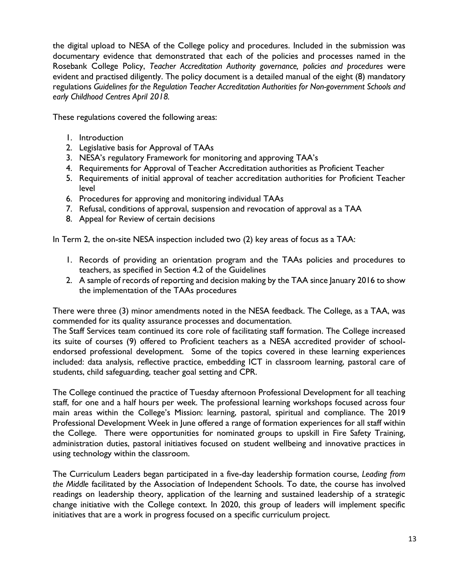the digital upload to NESA of the College policy and procedures. Included in the submission was documentary evidence that demonstrated that each of the policies and processes named in the Rosebank College Policy, *Teacher Accreditation Authority governance, policies and procedures* were evident and practised diligently. The policy document is a detailed manual of the eight (8) mandatory regulations *Guidelines for the Regulation Teacher Accreditation Authorities for Non-government Schools and early Childhood Centres April 2018.* 

These regulations covered the following areas:

- 1. Introduction
- 2. Legislative basis for Approval of TAAs
- 3. NESA's regulatory Framework for monitoring and approving TAA's
- 4. Requirements for Approval of Teacher Accreditation authorities as Proficient Teacher
- 5. Requirements of initial approval of teacher accreditation authorities for Proficient Teacher level
- 6. Procedures for approving and monitoring individual TAAs
- 7. Refusal, conditions of approval, suspension and revocation of approval as a TAA
- 8. Appeal for Review of certain decisions

In Term 2, the on-site NESA inspection included two (2) key areas of focus as a TAA:

- 1. Records of providing an orientation program and the TAAs policies and procedures to teachers, as specified in Section 4.2 of the Guidelines
- 2. A sample of records of reporting and decision making by the TAA since January 2016 to show the implementation of the TAAs procedures

There were three (3) minor amendments noted in the NESA feedback. The College, as a TAA, was commended for its quality assurance processes and documentation.

The Staff Services team continued its core role of facilitating staff formation. The College increased its suite of courses (9) offered to Proficient teachers as a NESA accredited provider of schoolendorsed professional development. Some of the topics covered in these learning experiences included: data analysis, reflective practice, embedding ICT in classroom learning, pastoral care of students, child safeguarding, teacher goal setting and CPR.

The College continued the practice of Tuesday afternoon Professional Development for all teaching staff, for one and a half hours per week. The professional learning workshops focused across four main areas within the College's Mission: learning, pastoral, spiritual and compliance. The 2019 Professional Development Week in June offered a range of formation experiences for all staff within the College. There were opportunities for nominated groups to upskill in Fire Safety Training, administration duties, pastoral initiatives focused on student wellbeing and innovative practices in using technology within the classroom.

The Curriculum Leaders began participated in a five-day leadership formation course, *Leading from the Middle* facilitated by the Association of Independent Schools. To date, the course has involved readings on leadership theory, application of the learning and sustained leadership of a strategic change initiative with the College context. In 2020, this group of leaders will implement specific initiatives that are a work in progress focused on a specific curriculum project.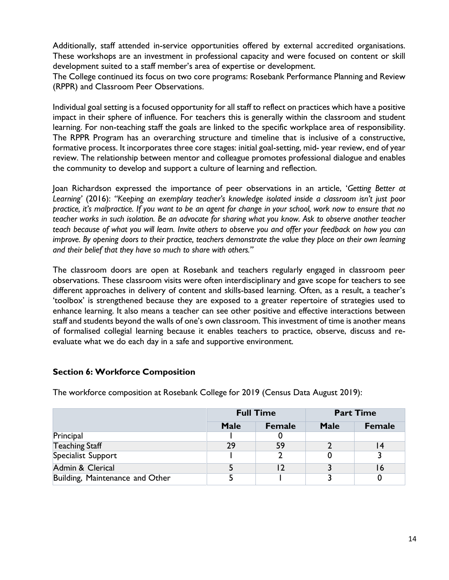Additionally, staff attended in-service opportunities offered by external accredited organisations. These workshops are an investment in professional capacity and were focused on content or skill development suited to a staff member's area of expertise or development.

The College continued its focus on two core programs: Rosebank Performance Planning and Review (RPPR) and Classroom Peer Observations.

Individual goal setting is a focused opportunity for all staff to reflect on practices which have a positive impact in their sphere of influence. For teachers this is generally within the classroom and student learning. For non-teaching staff the goals are linked to the specific workplace area of responsibility. The RPPR Program has an overarching structure and timeline that is inclusive of a constructive, formative process. It incorporates three core stages: initial goal-setting, mid- year review, end of year review. The relationship between mentor and colleague promotes professional dialogue and enables the community to develop and support a culture of learning and reflection.

Joan Richardson expressed the importance of peer observations in an article, '*Getting Better at Learning'* (2016): *"Keeping an exemplary teacher's knowledge isolated inside a classroom isn't just poor practice, it's malpractice. If you want to be an agent for change in your school, work now to ensure that no teacher works in such isolation. Be an advocate for sharing what you know. Ask to observe another teacher teach because of what you will learn. Invite others to observe you and offer your feedback on how you can improve. By opening doors to their practice, teachers demonstrate the value they place on their own learning and their belief that they have so much to share with others."*

The classroom doors are open at Rosebank and teachers regularly engaged in classroom peer observations. These classroom visits were often interdisciplinary and gave scope for teachers to see different approaches in delivery of content and skills-based learning. Often, as a result, a teacher's 'toolbox' is strengthened because they are exposed to a greater repertoire of strategies used to enhance learning. It also means a teacher can see other positive and effective interactions between staff and students beyond the walls of one's own classroom. This investment of time is another means of formalised collegial learning because it enables teachers to practice, observe, discuss and reevaluate what we do each day in a safe and supportive environment.

#### **Section 6: Workforce Composition**

|                                 |             | <b>Full Time</b> |             | <b>Part Time</b> |  |
|---------------------------------|-------------|------------------|-------------|------------------|--|
|                                 | <b>Male</b> | <b>Female</b>    | <b>Male</b> | <b>Female</b>    |  |
| Principal                       |             |                  |             |                  |  |
| <b>Teaching Staff</b>           | 29          | 59               |             |                  |  |
| Specialist Support              |             |                  |             |                  |  |
| Admin & Clerical                |             |                  |             |                  |  |
| Building, Maintenance and Other |             |                  |             |                  |  |

The workforce composition at Rosebank College for 2019 (Census Data August 2019):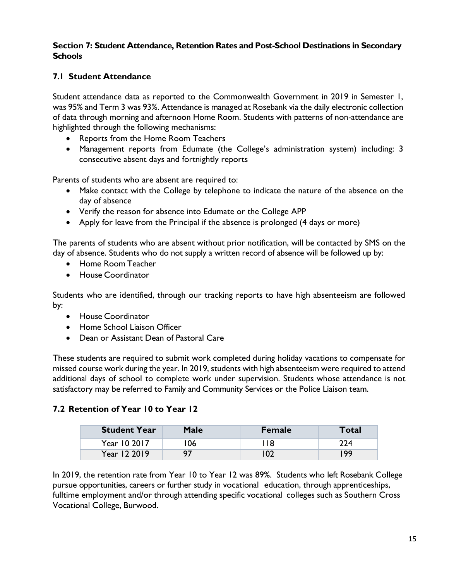#### **Section 7: Student Attendance, Retention Rates and Post-School Destinations in Secondary Schools**

#### **7.1 Student Attendance**

Student attendance data as reported to the Commonwealth Government in 2019 in Semester 1, was 95% and Term 3 was 93%. Attendance is managed at Rosebank via the daily electronic collection of data through morning and afternoon Home Room. Students with patterns of non-attendance are highlighted through the following mechanisms:

- Reports from the Home Room Teachers
- Management reports from Edumate (the College's administration system) including: 3 consecutive absent days and fortnightly reports

Parents of students who are absent are required to:

- Make contact with the College by telephone to indicate the nature of the absence on the day of absence
- Verify the reason for absence into Edumate or the College APP
- Apply for leave from the Principal if the absence is prolonged (4 days or more)

The parents of students who are absent without prior notification, will be contacted by SMS on the day of absence. Students who do not supply a written record of absence will be followed up by:

- Home Room Teacher
- **•** House Coordinator

Students who are identified, through our tracking reports to have high absenteeism are followed by:

- House Coordinator
- Home School Liaison Officer
- Dean or Assistant Dean of Pastoral Care

These students are required to submit work completed during holiday vacations to compensate for missed course work during the year. In 2019, students with high absenteeism were required to attend additional days of school to complete work under supervision. Students whose attendance is not satisfactory may be referred to Family and Community Services or the Police Liaison team.

#### **7.2 Retention of Year 10 to Year 12**

| <b>Student Year</b> | Male | Female | Total |
|---------------------|------|--------|-------|
| Year 10 2017        | 06   | 18     | 224   |
| Year 12 2019        | 97   | 02     | 199   |

In 2019, the retention rate from Year 10 to Year 12 was 89%. Students who left Rosebank College pursue opportunities, careers or further study in vocational education, through apprenticeships, fulltime employment and/or through attending specific vocational colleges such as Southern Cross Vocational College, Burwood.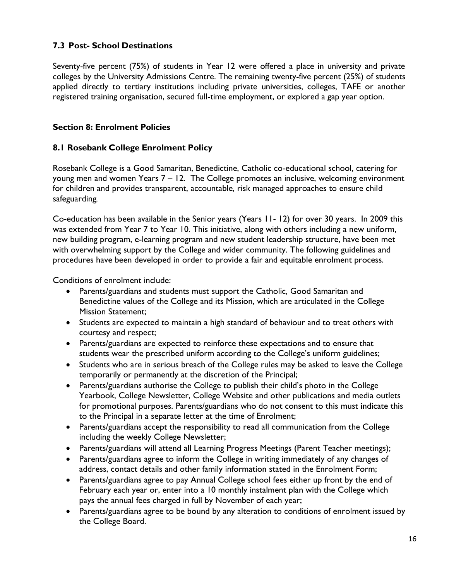#### **7.3 Post- School Destinations**

Seventy-five percent (75%) of students in Year 12 were offered a place in university and private colleges by the University Admissions Centre. The remaining twenty-five percent (25%) of students applied directly to tertiary institutions including private universities, colleges, TAFE or another registered training organisation, secured full-time employment, or explored a gap year option.

#### **Section 8: Enrolment Policies**

#### **8.1 Rosebank College Enrolment Policy**

Rosebank College is a Good Samaritan, Benedictine, Catholic co-educational school, catering for young men and women Years 7 – 12. The College promotes an inclusive, welcoming environment for children and provides transparent, accountable, risk managed approaches to ensure child safeguarding*.*

Co-education has been available in the Senior years (Years 11- 12) for over 30 years. In 2009 this was extended from Year 7 to Year 10. This initiative, along with others including a new uniform, new building program, e-learning program and new student leadership structure, have been met with overwhelming support by the College and wider community. The following guidelines and procedures have been developed in order to provide a fair and equitable enrolment process.

Conditions of enrolment include:

- Parents/guardians and students must support the Catholic, Good Samaritan and Benedictine values of the College and its Mission, which are articulated in the College Mission Statement;
- Students are expected to maintain a high standard of behaviour and to treat others with courtesy and respect;
- Parents/guardians are expected to reinforce these expectations and to ensure that students wear the prescribed uniform according to the College's uniform guidelines;
- Students who are in serious breach of the College rules may be asked to leave the College temporarily or permanently at the discretion of the Principal;
- Parents/guardians authorise the College to publish their child's photo in the College Yearbook, College Newsletter, College Website and other publications and media outlets for promotional purposes. Parents/guardians who do not consent to this must indicate this to the Principal in a separate letter at the time of Enrolment;
- Parents/guardians accept the responsibility to read all communication from the College including the weekly College Newsletter;
- Parents/guardians will attend all Learning Progress Meetings (Parent Teacher meetings);
- Parents/guardians agree to inform the College in writing immediately of any changes of address, contact details and other family information stated in the Enrolment Form;
- Parents/guardians agree to pay Annual College school fees either up front by the end of February each year or, enter into a 10 monthly instalment plan with the College which pays the annual fees charged in full by November of each year;
- Parents/guardians agree to be bound by any alteration to conditions of enrolment issued by the College Board.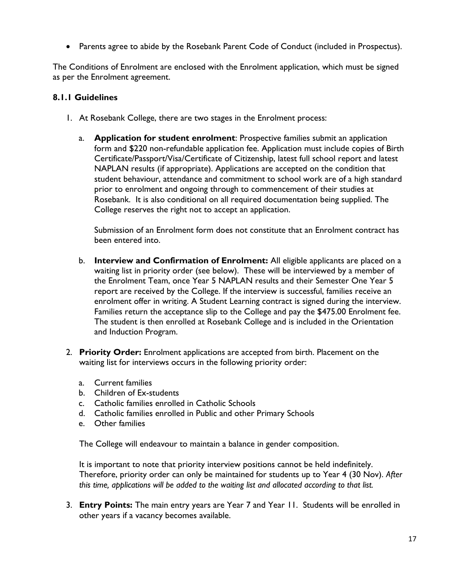Parents agree to abide by the Rosebank Parent Code of Conduct (included in Prospectus).

The Conditions of Enrolment are enclosed with the Enrolment application, which must be signed as per the Enrolment agreement.

#### **8.1.1 Guidelines**

- 1. At Rosebank College, there are two stages in the Enrolment process:
	- a. **Application for student enrolment**: Prospective families submit an application form and \$220 non-refundable application fee. Application must include copies of Birth Certificate/Passport/Visa/Certificate of Citizenship, latest full school report and latest NAPLAN results (if appropriate). Applications are accepted on the condition that student behaviour, attendance and commitment to school work are of a high standard prior to enrolment and ongoing through to commencement of their studies at Rosebank. It is also conditional on all required documentation being supplied. The College reserves the right not to accept an application.

Submission of an Enrolment form does not constitute that an Enrolment contract has been entered into.

- b. **Interview and Confirmation of Enrolment:** All eligible applicants are placed on a waiting list in priority order (see below). These will be interviewed by a member of the Enrolment Team, once Year 5 NAPLAN results and their Semester One Year 5 report are received by the College. If the interview is successful, families receive an enrolment offer in writing. A Student Learning contract is signed during the interview. Families return the acceptance slip to the College and pay the \$475.00 Enrolment fee. The student is then enrolled at Rosebank College and is included in the Orientation and Induction Program.
- 2. **Priority Order:** Enrolment applications are accepted from birth. Placement on the waiting list for interviews occurs in the following priority order:
	- a. Current families
	- b. Children of Ex-students
	- c. Catholic families enrolled in Catholic Schools
	- d. Catholic families enrolled in Public and other Primary Schools
	- e. Other families

The College will endeavour to maintain a balance in gender composition.

It is important to note that priority interview positions cannot be held indefinitely. Therefore, priority order can only be maintained for students up to Year 4 (30 Nov). *After this time, applications will be added to the waiting list and allocated according to that list.*

3. **Entry Points:** The main entry years are Year 7 and Year 11. Students will be enrolled in other years if a vacancy becomes available.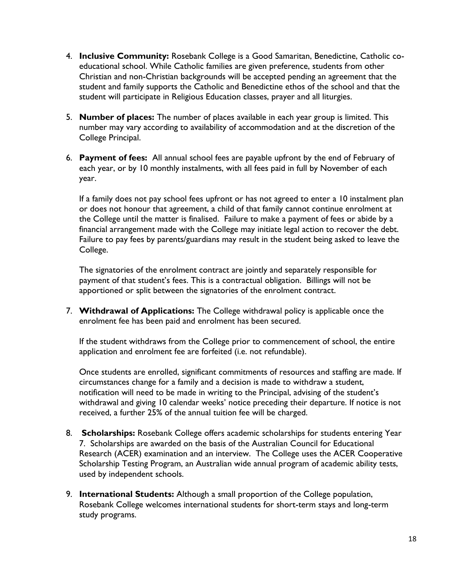- 4. **Inclusive Community:** Rosebank College is a Good Samaritan, Benedictine, Catholic coeducational school. While Catholic families are given preference, students from other Christian and non-Christian backgrounds will be accepted pending an agreement that the student and family supports the Catholic and Benedictine ethos of the school and that the student will participate in Religious Education classes, prayer and all liturgies.
- 5. **Number of places:** The number of places available in each year group is limited. This number may vary according to availability of accommodation and at the discretion of the College Principal.
- 6. **Payment of fees:** All annual school fees are payable upfront by the end of February of each year, or by 10 monthly instalments, with all fees paid in full by November of each year.

If a family does not pay school fees upfront or has not agreed to enter a 10 instalment plan or does not honour that agreement, a child of that family cannot continue enrolment at the College until the matter is finalised. Failure to make a payment of fees or abide by a financial arrangement made with the College may initiate legal action to recover the debt. Failure to pay fees by parents/guardians may result in the student being asked to leave the College.

The signatories of the enrolment contract are jointly and separately responsible for payment of that student's fees. This is a contractual obligation. Billings will not be apportioned or split between the signatories of the enrolment contract.

7. **Withdrawal of Applications:** The College withdrawal policy is applicable once the enrolment fee has been paid and enrolment has been secured.

If the student withdraws from the College prior to commencement of school, the entire application and enrolment fee are forfeited (i.e. not refundable).

Once students are enrolled, significant commitments of resources and staffing are made. If circumstances change for a family and a decision is made to withdraw a student, notification will need to be made in writing to the Principal, advising of the student's withdrawal and giving 10 calendar weeks' notice preceding their departure. If notice is not received, a further 25% of the annual tuition fee will be charged.

- 8. **Scholarships:** Rosebank College offers academic scholarships for students entering Year 7. Scholarships are awarded on the basis of the Australian Council for Educational Research (ACER) examination and an interview. The College uses the ACER Cooperative Scholarship Testing Program, an Australian wide annual program of academic ability tests, used by independent schools.
- 9. **International Students:** Although a small proportion of the College population, Rosebank College welcomes international students for short-term stays and long-term study programs.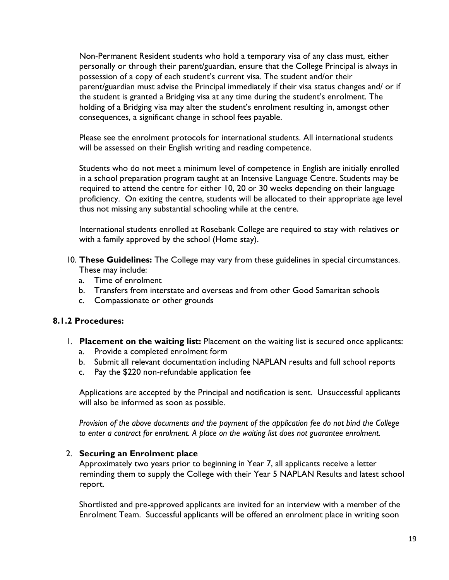Non-Permanent Resident students who hold a temporary visa of any class must, either personally or through their parent/guardian, ensure that the College Principal is always in possession of a copy of each student's current visa. The student and/or their parent/guardian must advise the Principal immediately if their visa status changes and/ or if the student is granted a Bridging visa at any time during the student's enrolment. The holding of a Bridging visa may alter the student's enrolment resulting in, amongst other consequences, a significant change in school fees payable.

Please see the enrolment protocols for international students. All international students will be assessed on their English writing and reading competence.

Students who do not meet a minimum level of competence in English are initially enrolled in a school preparation program taught at an Intensive Language Centre. Students may be required to attend the centre for either 10, 20 or 30 weeks depending on their language proficiency. On exiting the centre, students will be allocated to their appropriate age level thus not missing any substantial schooling while at the centre.

International students enrolled at Rosebank College are required to stay with relatives or with a family approved by the school (Home stay).

- 10. **These Guidelines:** The College may vary from these guidelines in special circumstances. These may include:
	- a. Time of enrolment
	- b. Transfers from interstate and overseas and from other Good Samaritan schools
	- c. Compassionate or other grounds

#### **8.1.2 Procedures:**

- 1. **Placement on the waiting list:** Placement on the waiting list is secured once applicants:
	- a. Provide a completed enrolment form
	- b. Submit all relevant documentation including NAPLAN results and full school reports
	- c. Pay the \$220 non-refundable application fee

Applications are accepted by the Principal and notification is sent. Unsuccessful applicants will also be informed as soon as possible.

*Provision of the above documents and the payment of the application fee do not bind the College*  to enter a contract for enrolment. A place on the waiting list does not guarantee enrolment.

#### 2. **Securing an Enrolment place**

Approximately two years prior to beginning in Year 7, all applicants receive a letter reminding them to supply the College with their Year 5 NAPLAN Results and latest school report.

Shortlisted and pre-approved applicants are invited for an interview with a member of the Enrolment Team. Successful applicants will be offered an enrolment place in writing soon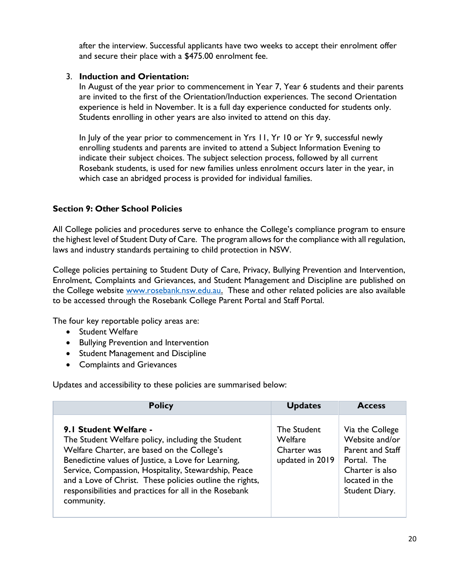after the interview. Successful applicants have two weeks to accept their enrolment offer and secure their place with a \$475.00 enrolment fee.

#### 3. **Induction and Orientation:**

In August of the year prior to commencement in Year 7, Year 6 students and their parents are invited to the first of the Orientation/Induction experiences. The second Orientation experience is held in November. It is a full day experience conducted for students only. Students enrolling in other years are also invited to attend on this day.

In July of the year prior to commencement in Yrs 11, Yr 10 or Yr 9, successful newly enrolling students and parents are invited to attend a Subject Information Evening to indicate their subject choices. The subject selection process, followed by all current Rosebank students, is used for new families unless enrolment occurs later in the year, in which case an abridged process is provided for individual families.

#### **Section 9: Other School Policies**

All College policies and procedures serve to enhance the College's compliance program to ensure the highest level of Student Duty of Care. The program allows for the compliance with all regulation, laws and industry standards pertaining to child protection in NSW.

College policies pertaining to Student Duty of Care, Privacy, Bullying Prevention and Intervention, Enrolment, Complaints and Grievances, and Student Management and Discipline are published on the College website [www.rosebank.nsw.edu.au.](http://www.rosebank.nsw.edu.au/) These and other related policies are also available to be accessed through the Rosebank College Parent Portal and Staff Portal.

The four key reportable policy areas are:

- Student Welfare
- Bullying Prevention and Intervention
- Student Management and Discipline
- Complaints and Grievances

Updates and accessibility to these policies are summarised below:

| <b>Policy</b>                                                                                                                                                                                                                                                                                                                                                                | <b>Updates</b>                                           | <b>Access</b>                                                                                                               |
|------------------------------------------------------------------------------------------------------------------------------------------------------------------------------------------------------------------------------------------------------------------------------------------------------------------------------------------------------------------------------|----------------------------------------------------------|-----------------------------------------------------------------------------------------------------------------------------|
| 9.1 Student Welfare -<br>The Student Welfare policy, including the Student<br>Welfare Charter, are based on the College's<br>Benedictine values of Justice, a Love for Learning,<br>Service, Compassion, Hospitality, Stewardship, Peace<br>and a Love of Christ. These policies outline the rights,<br>responsibilities and practices for all in the Rosebank<br>community. | The Student<br>Welfare<br>Charter was<br>updated in 2019 | Via the College<br>Website and/or<br>Parent and Staff<br>Portal. The<br>Charter is also<br>located in the<br>Student Diary. |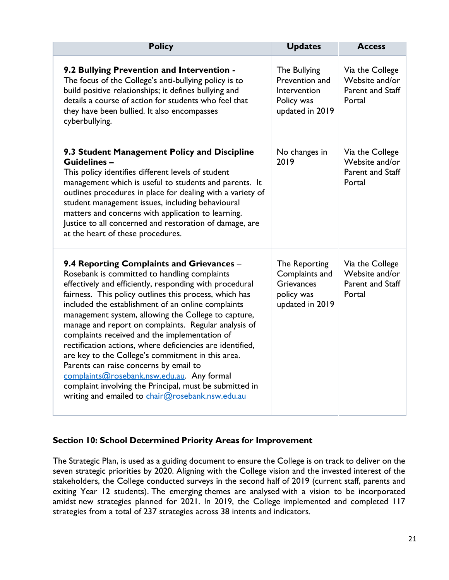| <b>Policy</b>                                                                                                                                                                                                                                                                                                                                                                                                                                                                                                                                                                                                                                                                                                                                                 | <b>Updates</b>                                                                        | <b>Access</b>                                                   |
|---------------------------------------------------------------------------------------------------------------------------------------------------------------------------------------------------------------------------------------------------------------------------------------------------------------------------------------------------------------------------------------------------------------------------------------------------------------------------------------------------------------------------------------------------------------------------------------------------------------------------------------------------------------------------------------------------------------------------------------------------------------|---------------------------------------------------------------------------------------|-----------------------------------------------------------------|
| 9.2 Bullying Prevention and Intervention -<br>The focus of the College's anti-bullying policy is to<br>build positive relationships; it defines bullying and<br>details a course of action for students who feel that<br>they have been bullied. It also encompasses<br>cyberbullying.                                                                                                                                                                                                                                                                                                                                                                                                                                                                        | The Bullying<br>Prevention and<br>Intervention<br>Policy was<br>updated in 2019       | Via the College<br>Website and/or<br>Parent and Staff<br>Portal |
| 9.3 Student Management Policy and Discipline<br><b>Guidelines-</b><br>This policy identifies different levels of student<br>management which is useful to students and parents. It<br>outlines procedures in place for dealing with a variety of<br>student management issues, including behavioural<br>matters and concerns with application to learning.<br>Justice to all concerned and restoration of damage, are<br>at the heart of these procedures.                                                                                                                                                                                                                                                                                                    | No changes in<br>2019                                                                 | Via the College<br>Website and/or<br>Parent and Staff<br>Portal |
| 9.4 Reporting Complaints and Grievances -<br>Rosebank is committed to handling complaints<br>effectively and efficiently, responding with procedural<br>fairness. This policy outlines this process, which has<br>included the establishment of an online complaints<br>management system, allowing the College to capture,<br>manage and report on complaints. Regular analysis of<br>complaints received and the implementation of<br>rectification actions, where deficiencies are identified,<br>are key to the College's commitment in this area.<br>Parents can raise concerns by email to<br>complaints@rosebank.nsw.edu.au. Any formal<br>complaint involving the Principal, must be submitted in<br>writing and emailed to chair@rosebank.nsw.edu.au | The Reporting<br>Complaints and<br><b>Grievances</b><br>policy was<br>updated in 2019 | Via the College<br>Website and/or<br>Parent and Staff<br>Portal |

#### **Section 10: School Determined Priority Areas for Improvement**

The Strategic Plan, is used as a guiding document to ensure the College is on track to deliver on the seven strategic priorities by 2020. Aligning with the College vision and the invested interest of the stakeholders, the College conducted surveys in the second half of 2019 (current staff, parents and exiting Year 12 students). The emerging themes are analysed with a vision to be incorporated amidst new strategies planned for 2021. In 2019, the College implemented and completed 117 strategies from a total of 237 strategies across 38 intents and indicators.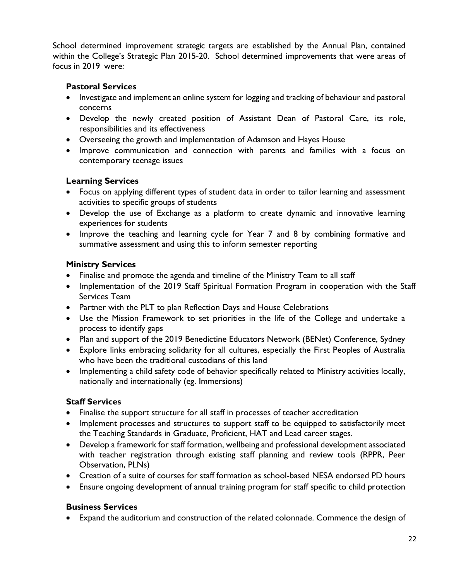School determined improvement strategic targets are established by the Annual Plan, contained within the College's Strategic Plan 2015-20. School determined improvements that were areas of focus in 2019 were:

#### **Pastoral Services**

- Investigate and implement an online system for logging and tracking of behaviour and pastoral concerns
- Develop the newly created position of Assistant Dean of Pastoral Care, its role, responsibilities and its effectiveness
- Overseeing the growth and implementation of Adamson and Hayes House
- Improve communication and connection with parents and families with a focus on contemporary teenage issues

#### **Learning Services**

- Focus on applying different types of student data in order to tailor learning and assessment activities to specific groups of students
- Develop the use of Exchange as a platform to create dynamic and innovative learning experiences for students
- Improve the teaching and learning cycle for Year 7 and 8 by combining formative and summative assessment and using this to inform semester reporting

#### **Ministry Services**

- Finalise and promote the agenda and timeline of the Ministry Team to all staff
- Implementation of the 2019 Staff Spiritual Formation Program in cooperation with the Staff Services Team
- Partner with the PLT to plan Reflection Days and House Celebrations
- Use the Mission Framework to set priorities in the life of the College and undertake a process to identify gaps
- Plan and support of the 2019 Benedictine Educators Network (BENet) Conference, Sydney
- Explore links embracing solidarity for all cultures, especially the First Peoples of Australia who have been the traditional custodians of this land
- Implementing a child safety code of behavior specifically related to Ministry activities locally, nationally and internationally (eg. Immersions)

#### **Staff Services**

- Finalise the support structure for all staff in processes of teacher accreditation
- Implement processes and structures to support staff to be equipped to satisfactorily meet the Teaching Standards in Graduate, Proficient, HAT and Lead career stages.
- Develop a framework for staff formation, wellbeing and professional development associated with teacher registration through existing staff planning and review tools (RPPR, Peer Observation, PLNs)
- Creation of a suite of courses for staff formation as school-based NESA endorsed PD hours
- Ensure ongoing development of annual training program for staff specific to child protection

#### **Business Services**

Expand the auditorium and construction of the related colonnade. Commence the design of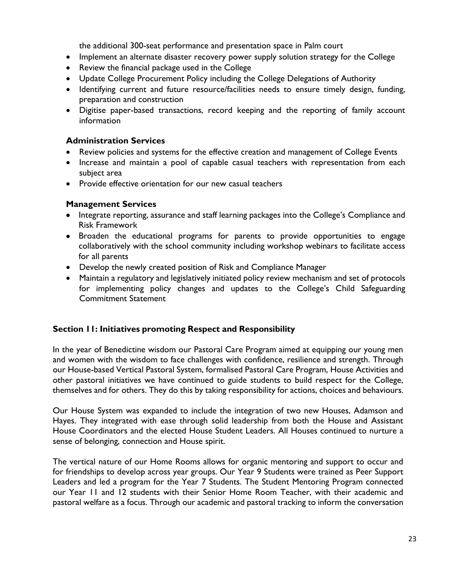the additional 300-seat performance and presentation space in Palm court

- Implement an alternate disaster recovery power supply solution strategy for the College
- Review the financial package used in the College
- Update College Procurement Policy including the College Delegations of Authority
- Identifying current and future resource/facilities needs to ensure timely design, funding, preparation and construction
- Digitise paper-based transactions, record keeping and the reporting of family account information

#### **Administration Services**

- Review policies and systems for the effective creation and management of College Events
- Increase and maintain a pool of capable casual teachers with representation from each subject area
- Provide effective orientation for our new casual teachers

#### **Management Services**

- Integrate reporting, assurance and staff learning packages into the College's Compliance and Risk Framework
- Broaden the educational programs for parents to provide opportunities to engage collaboratively with the school community including workshop webinars to facilitate access for all parents
- Develop the newly created position of Risk and Compliance Manager
- Maintain a regulatory and legislatively initiated policy review mechanism and set of protocols for implementing policy changes and updates to the College's Child Safeguarding Commitment Statement

#### **Section 11: Initiatives promoting Respect and Responsibility**

In the year of Benedictine wisdom our Pastoral Care Program aimed at equipping our young men and women with the wisdom to face challenges with confidence, resilience and strength. Through our House-based Vertical Pastoral System, formalised Pastoral Care Program, House Activities and other pastoral initiatives we have continued to guide students to build respect for the College, themselves and for others. They do this by taking responsibility for actions, choices and behaviours.

Our House System was expanded to include the integration of two new Houses, Adamson and Hayes. They integrated with ease through solid leadership from both the House and Assistant House Coordinators and the elected House Student Leaders. All Houses continued to nurture a sense of belonging, connection and House spirit.

The vertical nature of our Home Rooms allows for organic mentoring and support to occur and for friendships to develop across year groups. Our Year 9 Students were trained as Peer Support Leaders and led a program for the Year 7 Students. The Student Mentoring Program connected our Year 11 and 12 students with their Senior Home Room Teacher, with their academic and pastoral welfare as a focus. Through our academic and pastoral tracking to inform the conversation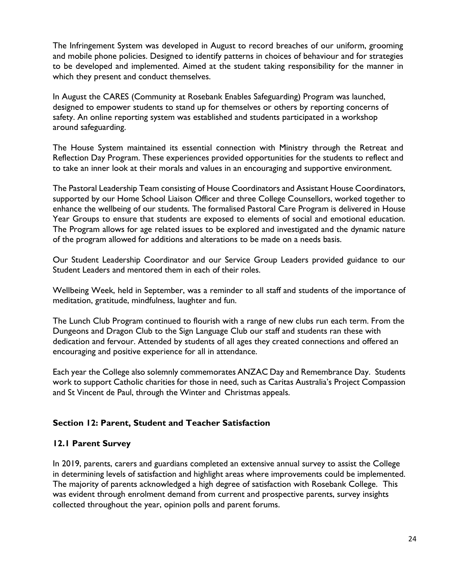The Infringement System was developed in August to record breaches of our uniform, grooming and mobile phone policies. Designed to identify patterns in choices of behaviour and for strategies to be developed and implemented. Aimed at the student taking responsibility for the manner in which they present and conduct themselves.

In August the CARES (Community at Rosebank Enables Safeguarding) Program was launched, designed to empower students to stand up for themselves or others by reporting concerns of safety. An online reporting system was established and students participated in a workshop around safeguarding.

The House System maintained its essential connection with Ministry through the Retreat and Reflection Day Program. These experiences provided opportunities for the students to reflect and to take an inner look at their morals and values in an encouraging and supportive environment.

The Pastoral Leadership Team consisting of House Coordinators and Assistant House Coordinators, supported by our Home School Liaison Officer and three College Counsellors, worked together to enhance the wellbeing of our students. The formalised Pastoral Care Program is delivered in House Year Groups to ensure that students are exposed to elements of social and emotional education. The Program allows for age related issues to be explored and investigated and the dynamic nature of the program allowed for additions and alterations to be made on a needs basis.

Our Student Leadership Coordinator and our Service Group Leaders provided guidance to our Student Leaders and mentored them in each of their roles.

Wellbeing Week, held in September, was a reminder to all staff and students of the importance of meditation, gratitude, mindfulness, laughter and fun.

The Lunch Club Program continued to flourish with a range of new clubs run each term. From the Dungeons and Dragon Club to the Sign Language Club our staff and students ran these with dedication and fervour. Attended by students of all ages they created connections and offered an encouraging and positive experience for all in attendance.

Each year the College also solemnly commemorates ANZAC Day and Remembrance Day. Students work to support Catholic charities for those in need, such as Caritas Australia's Project Compassion and St Vincent de Paul, through the Winter and Christmas appeals.

#### **Section 12: Parent, Student and Teacher Satisfaction**

#### **12.1 Parent Survey**

In 2019, parents, carers and guardians completed an extensive annual survey to assist the College in determining levels of satisfaction and highlight areas where improvements could be implemented. The majority of parents acknowledged a high degree of satisfaction with Rosebank College. This was evident through enrolment demand from current and prospective parents, survey insights collected throughout the year, opinion polls and parent forums.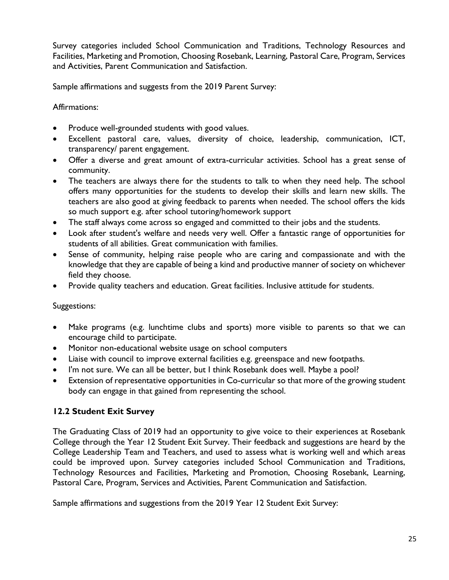Survey categories included School Communication and Traditions, Technology Resources and Facilities, Marketing and Promotion, Choosing Rosebank, Learning, Pastoral Care, Program, Services and Activities, Parent Communication and Satisfaction.

Sample affirmations and suggests from the 2019 Parent Survey:

#### Affirmations:

- Produce well-grounded students with good values.
- Excellent pastoral care, values, diversity of choice, leadership, communication, ICT, transparency/ parent engagement.
- Offer a diverse and great amount of extra-curricular activities. School has a great sense of community.
- The teachers are always there for the students to talk to when they need help. The school offers many opportunities for the students to develop their skills and learn new skills. The teachers are also good at giving feedback to parents when needed. The school offers the kids so much support e.g. after school tutoring/homework support
- The staff always come across so engaged and committed to their jobs and the students.
- Look after student's welfare and needs very well. Offer a fantastic range of opportunities for students of all abilities. Great communication with families.
- Sense of community, helping raise people who are caring and compassionate and with the knowledge that they are capable of being a kind and productive manner of society on whichever field they choose.
- Provide quality teachers and education. Great facilities. Inclusive attitude for students.

#### Suggestions:

- Make programs (e.g. lunchtime clubs and sports) more visible to parents so that we can encourage child to participate.
- Monitor non-educational website usage on school computers
- Liaise with council to improve external facilities e.g. greenspace and new footpaths.
- I'm not sure. We can all be better, but I think Rosebank does well. Maybe a pool?
- Extension of representative opportunities in Co-curricular so that more of the growing student body can engage in that gained from representing the school.

#### **12.2 Student Exit Survey**

The Graduating Class of 2019 had an opportunity to give voice to their experiences at Rosebank College through the Year 12 Student Exit Survey. Their feedback and suggestions are heard by the College Leadership Team and Teachers, and used to assess what is working well and which areas could be improved upon. Survey categories included School Communication and Traditions, Technology Resources and Facilities, Marketing and Promotion, Choosing Rosebank, Learning, Pastoral Care, Program, Services and Activities, Parent Communication and Satisfaction.

Sample affirmations and suggestions from the 2019 Year 12 Student Exit Survey: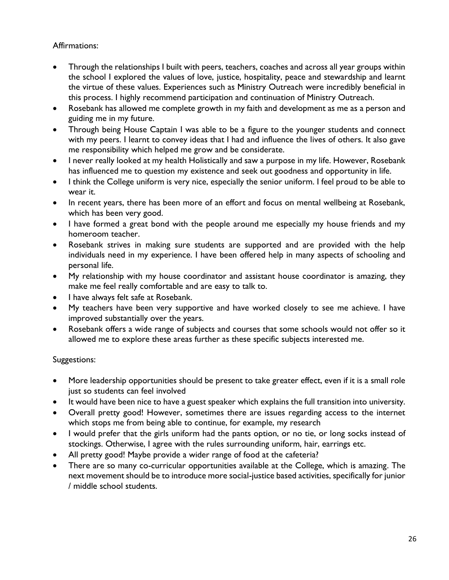#### Affirmations:

- Through the relationships I built with peers, teachers, coaches and across all year groups within the school I explored the values of love, justice, hospitality, peace and stewardship and learnt the virtue of these values. Experiences such as Ministry Outreach were incredibly beneficial in this process. I highly recommend participation and continuation of Ministry Outreach.
- Rosebank has allowed me complete growth in my faith and development as me as a person and guiding me in my future.
- Through being House Captain I was able to be a figure to the younger students and connect with my peers. I learnt to convey ideas that I had and influence the lives of others. It also gave me responsibility which helped me grow and be considerate.
- I never really looked at my health Holistically and saw a purpose in my life. However, Rosebank has influenced me to question my existence and seek out goodness and opportunity in life.
- I think the College uniform is very nice, especially the senior uniform. I feel proud to be able to wear it.
- In recent years, there has been more of an effort and focus on mental wellbeing at Rosebank, which has been very good.
- I have formed a great bond with the people around me especially my house friends and my homeroom teacher.
- Rosebank strives in making sure students are supported and are provided with the help individuals need in my experience. I have been offered help in many aspects of schooling and personal life.
- My relationship with my house coordinator and assistant house coordinator is amazing, they make me feel really comfortable and are easy to talk to.
- I have always felt safe at Rosebank.
- My teachers have been very supportive and have worked closely to see me achieve. I have improved substantially over the years.
- Rosebank offers a wide range of subjects and courses that some schools would not offer so it allowed me to explore these areas further as these specific subjects interested me.

#### Suggestions:

- More leadership opportunities should be present to take greater effect, even if it is a small role just so students can feel involved
- It would have been nice to have a guest speaker which explains the full transition into university.
- Overall pretty good! However, sometimes there are issues regarding access to the internet which stops me from being able to continue, for example, my research
- I would prefer that the girls uniform had the pants option, or no tie, or long socks instead of stockings. Otherwise, I agree with the rules surrounding uniform, hair, earrings etc.
- All pretty good! Maybe provide a wider range of food at the cafeteria?
- There are so many co-curricular opportunities available at the College, which is amazing. The next movement should be to introduce more social-justice based activities, specifically for junior / middle school students.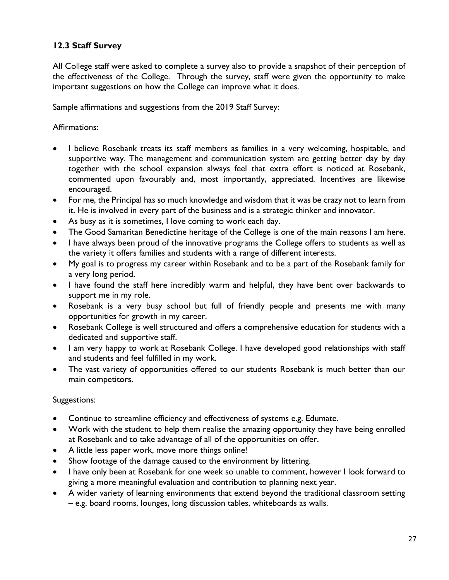#### **12.3 Staff Survey**

All College staff were asked to complete a survey also to provide a snapshot of their perception of the effectiveness of the College. Through the survey, staff were given the opportunity to make important suggestions on how the College can improve what it does.

Sample affirmations and suggestions from the 2019 Staff Survey:

#### Affirmations:

- I believe Rosebank treats its staff members as families in a very welcoming, hospitable, and supportive way. The management and communication system are getting better day by day together with the school expansion always feel that extra effort is noticed at Rosebank, commented upon favourably and, most importantly, appreciated. Incentives are likewise encouraged.
- For me, the Principal has so much knowledge and wisdom that it was be crazy not to learn from it. He is involved in every part of the business and is a strategic thinker and innovator.
- As busy as it is sometimes, I love coming to work each day.
- The Good Samaritan Benedictine heritage of the College is one of the main reasons I am here.
- I have always been proud of the innovative programs the College offers to students as well as the variety it offers families and students with a range of different interests.
- My goal is to progress my career within Rosebank and to be a part of the Rosebank family for a very long period.
- I have found the staff here incredibly warm and helpful, they have bent over backwards to support me in my role.
- Rosebank is a very busy school but full of friendly people and presents me with many opportunities for growth in my career.
- Rosebank College is well structured and offers a comprehensive education for students with a dedicated and supportive staff.
- I am very happy to work at Rosebank College. I have developed good relationships with staff and students and feel fulfilled in my work.
- The vast variety of opportunities offered to our students Rosebank is much better than our main competitors.

#### Suggestions:

- Continue to streamline efficiency and effectiveness of systems e.g. Edumate.
- Work with the student to help them realise the amazing opportunity they have being enrolled at Rosebank and to take advantage of all of the opportunities on offer.
- A little less paper work, move more things online!
- Show footage of the damage caused to the environment by littering.
- I have only been at Rosebank for one week so unable to comment, however I look forward to giving a more meaningful evaluation and contribution to planning next year.
- A wider variety of learning environments that extend beyond the traditional classroom setting – e.g. board rooms, lounges, long discussion tables, whiteboards as walls.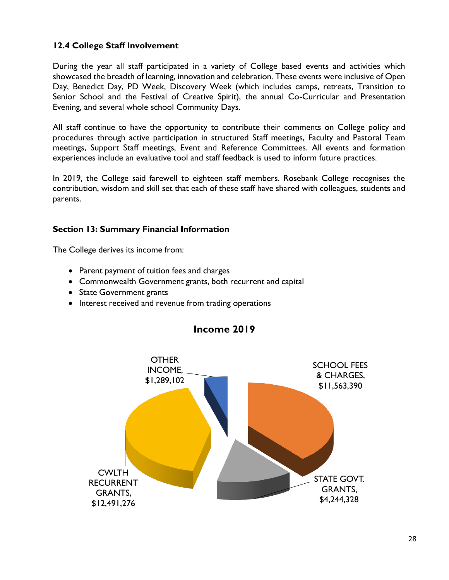#### **12.4 College Staff Involvement**

During the year all staff participated in a variety of College based events and activities which showcased the breadth of learning, innovation and celebration. These events were inclusive of Open Day, Benedict Day, PD Week, Discovery Week (which includes camps, retreats, Transition to Senior School and the Festival of Creative Spirit), the annual Co-Curricular and Presentation Evening, and several whole school Community Days.

All staff continue to have the opportunity to contribute their comments on College policy and procedures through active participation in structured Staff meetings, Faculty and Pastoral Team meetings, Support Staff meetings, Event and Reference Committees. All events and formation experiences include an evaluative tool and staff feedback is used to inform future practices.

In 2019, the College said farewell to eighteen staff members. Rosebank College recognises the contribution, wisdom and skill set that each of these staff have shared with colleagues, students and parents.

#### **Section 13: Summary Financial Information**

The College derives its income from:

- Parent payment of tuition fees and charges
- Commonwealth Government grants, both recurrent and capital
- State Government grants
- Interest received and revenue from trading operations



### **Income 2019**